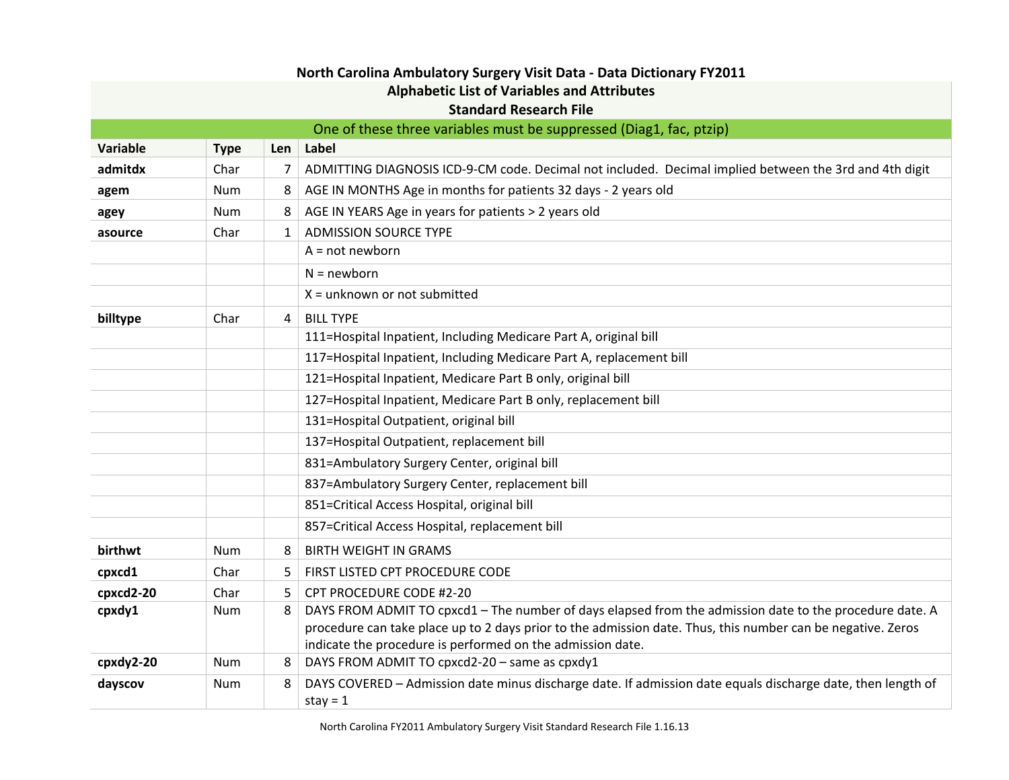| North Carolina Ambulatory Surgery Visit Data - Data Dictionary FY2011 |                                                                     |              |                                                                                                                                                                                                                                                                                      |  |
|-----------------------------------------------------------------------|---------------------------------------------------------------------|--------------|--------------------------------------------------------------------------------------------------------------------------------------------------------------------------------------------------------------------------------------------------------------------------------------|--|
| <b>Alphabetic List of Variables and Attributes</b>                    |                                                                     |              |                                                                                                                                                                                                                                                                                      |  |
|                                                                       | <b>Standard Research File</b>                                       |              |                                                                                                                                                                                                                                                                                      |  |
|                                                                       | One of these three variables must be suppressed (Diag1, fac, ptzip) |              |                                                                                                                                                                                                                                                                                      |  |
| Variable                                                              | <b>Type</b>                                                         | Len          | Label                                                                                                                                                                                                                                                                                |  |
| admitdx                                                               | Char                                                                | 7            | ADMITTING DIAGNOSIS ICD-9-CM code. Decimal not included. Decimal implied between the 3rd and 4th digit                                                                                                                                                                               |  |
| agem                                                                  | Num                                                                 | 8            | AGE IN MONTHS Age in months for patients 32 days - 2 years old                                                                                                                                                                                                                       |  |
| agey                                                                  | Num                                                                 | 8            | AGE IN YEARS Age in years for patients > 2 years old                                                                                                                                                                                                                                 |  |
| asource                                                               | Char                                                                | $\mathbf{1}$ | <b>ADMISSION SOURCE TYPE</b>                                                                                                                                                                                                                                                         |  |
|                                                                       |                                                                     |              | $A = not newborn$                                                                                                                                                                                                                                                                    |  |
|                                                                       |                                                                     |              | $N = newborn$                                                                                                                                                                                                                                                                        |  |
|                                                                       |                                                                     |              | $X =$ unknown or not submitted                                                                                                                                                                                                                                                       |  |
| billtype                                                              | Char                                                                | 4            | <b>BILL TYPE</b>                                                                                                                                                                                                                                                                     |  |
|                                                                       |                                                                     |              | 111=Hospital Inpatient, Including Medicare Part A, original bill                                                                                                                                                                                                                     |  |
|                                                                       |                                                                     |              | 117=Hospital Inpatient, Including Medicare Part A, replacement bill                                                                                                                                                                                                                  |  |
|                                                                       |                                                                     |              | 121=Hospital Inpatient, Medicare Part B only, original bill                                                                                                                                                                                                                          |  |
|                                                                       |                                                                     |              | 127=Hospital Inpatient, Medicare Part B only, replacement bill                                                                                                                                                                                                                       |  |
|                                                                       |                                                                     |              | 131=Hospital Outpatient, original bill                                                                                                                                                                                                                                               |  |
|                                                                       |                                                                     |              | 137=Hospital Outpatient, replacement bill                                                                                                                                                                                                                                            |  |
|                                                                       |                                                                     |              | 831=Ambulatory Surgery Center, original bill                                                                                                                                                                                                                                         |  |
|                                                                       |                                                                     |              | 837=Ambulatory Surgery Center, replacement bill                                                                                                                                                                                                                                      |  |
|                                                                       |                                                                     |              | 851=Critical Access Hospital, original bill                                                                                                                                                                                                                                          |  |
|                                                                       |                                                                     |              | 857=Critical Access Hospital, replacement bill                                                                                                                                                                                                                                       |  |
| birthwt                                                               | <b>Num</b>                                                          | 8            | <b>BIRTH WEIGHT IN GRAMS</b>                                                                                                                                                                                                                                                         |  |
| cpxcd1                                                                | Char                                                                | 5.           | FIRST LISTED CPT PROCEDURE CODE                                                                                                                                                                                                                                                      |  |
| cpxcd2-20                                                             | Char                                                                | 5.           | CPT PROCEDURE CODE #2-20                                                                                                                                                                                                                                                             |  |
| cpxdy1                                                                | Num                                                                 | 8            | DAYS FROM ADMIT TO cpxcd1 - The number of days elapsed from the admission date to the procedure date. A<br>procedure can take place up to 2 days prior to the admission date. Thus, this number can be negative. Zeros<br>indicate the procedure is performed on the admission date. |  |
| cpxdy2-20                                                             | <b>Num</b>                                                          | 8            | DAYS FROM ADMIT TO cpxcd2-20 - same as cpxdy1                                                                                                                                                                                                                                        |  |
| dayscov                                                               | Num                                                                 | 8            | DAYS COVERED - Admission date minus discharge date. If admission date equals discharge date, then length of<br>stay = $1$                                                                                                                                                            |  |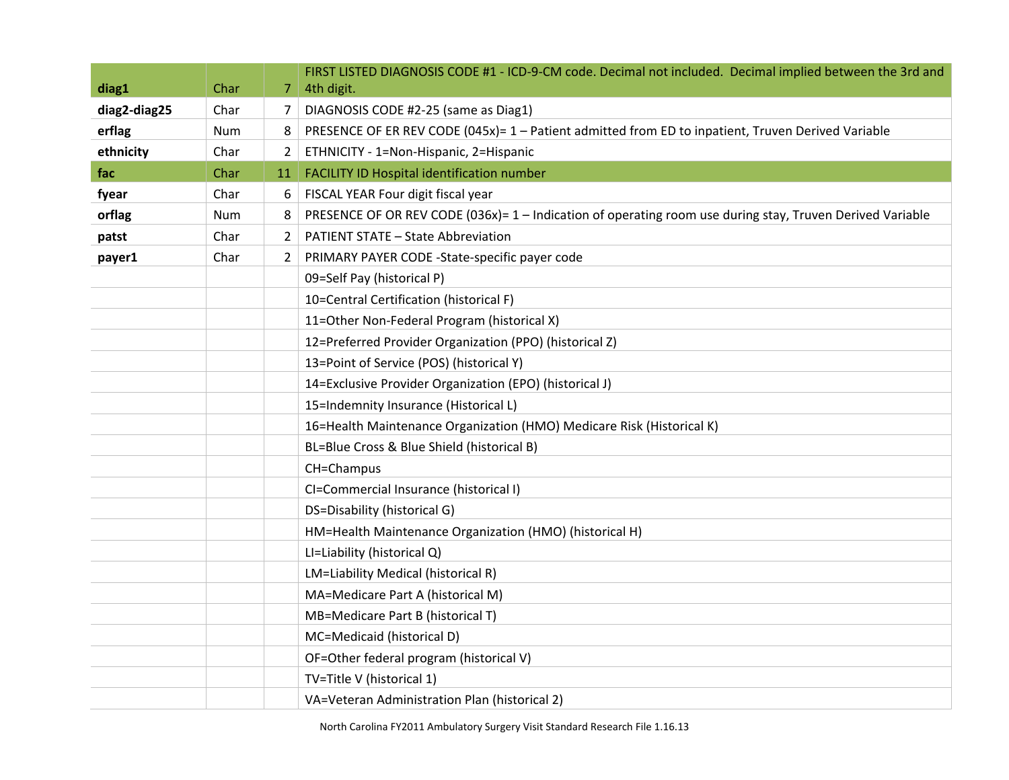| diag1        | Char | 7              | FIRST LISTED DIAGNOSIS CODE #1 - ICD-9-CM code. Decimal not included. Decimal implied between the 3rd and<br>4th digit. |
|--------------|------|----------------|-------------------------------------------------------------------------------------------------------------------------|
| diag2-diag25 | Char | 7              | DIAGNOSIS CODE #2-25 (same as Diag1)                                                                                    |
| erflag       | Num  | 8              | PRESENCE OF ER REV CODE (045x)= 1 - Patient admitted from ED to inpatient, Truven Derived Variable                      |
| ethnicity    | Char | $\overline{2}$ | ETHNICITY - 1=Non-Hispanic, 2=Hispanic                                                                                  |
| fac          | Char | 11             | FACILITY ID Hospital identification number                                                                              |
| fyear        | Char | 6              | FISCAL YEAR Four digit fiscal year                                                                                      |
| orflag       | Num  | 8              | PRESENCE OF OR REV CODE (036x)= 1 - Indication of operating room use during stay, Truven Derived Variable               |
| patst        | Char | $\mathbf{2}$   | <b>PATIENT STATE - State Abbreviation</b>                                                                               |
| payer1       | Char | $\mathbf{2}$   | PRIMARY PAYER CODE -State-specific payer code                                                                           |
|              |      |                | 09=Self Pay (historical P)                                                                                              |
|              |      |                | 10=Central Certification (historical F)                                                                                 |
|              |      |                | 11=Other Non-Federal Program (historical X)                                                                             |
|              |      |                | 12=Preferred Provider Organization (PPO) (historical Z)                                                                 |
|              |      |                | 13=Point of Service (POS) (historical Y)                                                                                |
|              |      |                | 14=Exclusive Provider Organization (EPO) (historical J)                                                                 |
|              |      |                | 15=Indemnity Insurance (Historical L)                                                                                   |
|              |      |                | 16=Health Maintenance Organization (HMO) Medicare Risk (Historical K)                                                   |
|              |      |                | BL=Blue Cross & Blue Shield (historical B)                                                                              |
|              |      |                | CH=Champus                                                                                                              |
|              |      |                | CI=Commercial Insurance (historical I)                                                                                  |
|              |      |                | DS=Disability (historical G)                                                                                            |
|              |      |                | HM=Health Maintenance Organization (HMO) (historical H)                                                                 |
|              |      |                | LI=Liability (historical Q)                                                                                             |
|              |      |                | LM=Liability Medical (historical R)                                                                                     |
|              |      |                | MA=Medicare Part A (historical M)                                                                                       |
|              |      |                | MB=Medicare Part B (historical T)                                                                                       |
|              |      |                | MC=Medicaid (historical D)                                                                                              |
|              |      |                | OF=Other federal program (historical V)                                                                                 |
|              |      |                | TV=Title V (historical 1)                                                                                               |
|              |      |                | VA=Veteran Administration Plan (historical 2)                                                                           |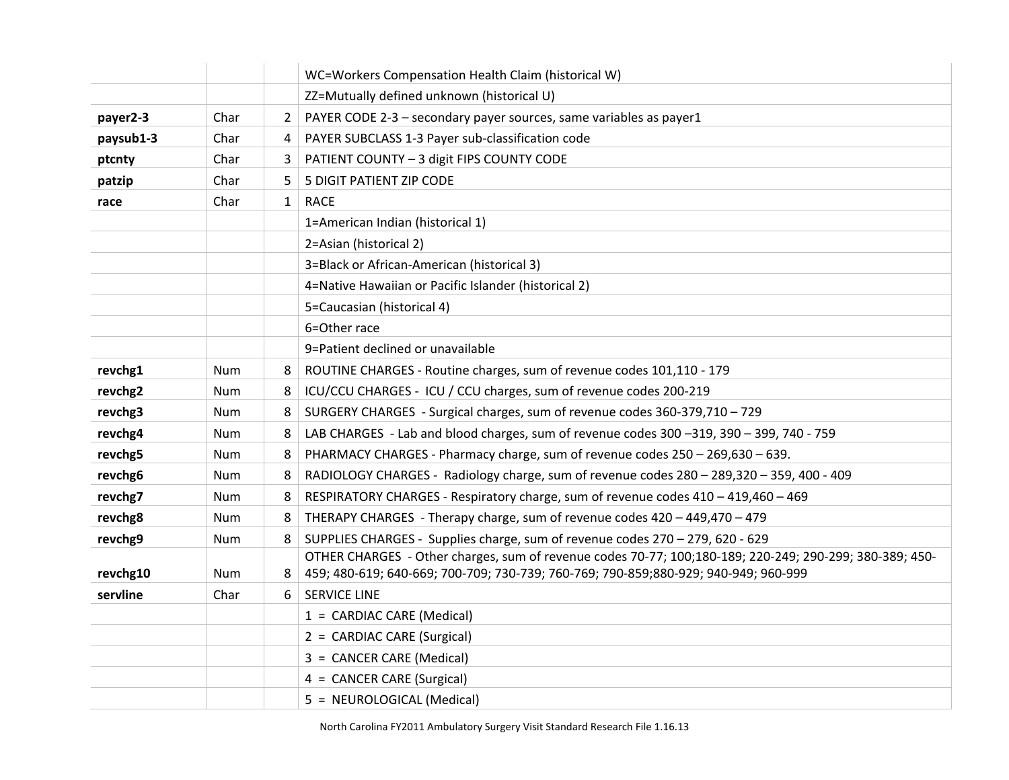|           |            |              | WC=Workers Compensation Health Claim (historical W)                                                                                                                                             |
|-----------|------------|--------------|-------------------------------------------------------------------------------------------------------------------------------------------------------------------------------------------------|
|           |            |              | ZZ=Mutually defined unknown (historical U)                                                                                                                                                      |
| payer2-3  | Char       | $\mathbf{2}$ | PAYER CODE 2-3 - secondary payer sources, same variables as payer1                                                                                                                              |
| paysub1-3 | Char       | 4            | PAYER SUBCLASS 1-3 Payer sub-classification code                                                                                                                                                |
| ptcnty    | Char       | 3            | PATIENT COUNTY - 3 digit FIPS COUNTY CODE                                                                                                                                                       |
| patzip    | Char       | 5.           | 5 DIGIT PATIENT ZIP CODE                                                                                                                                                                        |
| race      | Char       | $\mathbf{1}$ | <b>RACE</b>                                                                                                                                                                                     |
|           |            |              | 1=American Indian (historical 1)                                                                                                                                                                |
|           |            |              | 2=Asian (historical 2)                                                                                                                                                                          |
|           |            |              | 3=Black or African-American (historical 3)                                                                                                                                                      |
|           |            |              | 4=Native Hawaiian or Pacific Islander (historical 2)                                                                                                                                            |
|           |            |              | 5=Caucasian (historical 4)                                                                                                                                                                      |
|           |            |              | 6=Other race                                                                                                                                                                                    |
|           |            |              | 9=Patient declined or unavailable                                                                                                                                                               |
| revchg1   | Num        | 8            | ROUTINE CHARGES - Routine charges, sum of revenue codes 101,110 - 179                                                                                                                           |
| revchg2   | Num        | 8            | ICU/CCU CHARGES - ICU / CCU charges, sum of revenue codes 200-219                                                                                                                               |
| revchg3   | Num        | 8            | SURGERY CHARGES - Surgical charges, sum of revenue codes 360-379,710 - 729                                                                                                                      |
| revchg4   | <b>Num</b> | 8            | LAB CHARGES - Lab and blood charges, sum of revenue codes 300 -319, 390 - 399, 740 - 759                                                                                                        |
| revchg5   | Num        | 8            | PHARMACY CHARGES - Pharmacy charge, sum of revenue codes 250 - 269,630 - 639.                                                                                                                   |
| revchg6   | Num        | 8            | RADIOLOGY CHARGES - Radiology charge, sum of revenue codes 280 - 289,320 - 359, 400 - 409                                                                                                       |
| revchg7   | Num        | 8            | RESPIRATORY CHARGES - Respiratory charge, sum of revenue codes 410 - 419,460 - 469                                                                                                              |
| revchg8   | <b>Num</b> | 8            | THERAPY CHARGES - Therapy charge, sum of revenue codes 420 - 449,470 - 479                                                                                                                      |
| revchg9   | Num        | 8            | SUPPLIES CHARGES - Supplies charge, sum of revenue codes 270 - 279, 620 - 629                                                                                                                   |
| revchg10  | Num        | 8            | OTHER CHARGES - Other charges, sum of revenue codes 70-77; 100;180-189; 220-249; 290-299; 380-389; 450-<br>459; 480-619; 640-669; 700-709; 730-739; 760-769; 790-859; 880-929; 940-949; 960-999 |
| servline  | Char       | 6            | <b>SERVICE LINE</b>                                                                                                                                                                             |
|           |            |              | 1 = CARDIAC CARE (Medical)                                                                                                                                                                      |
|           |            |              | 2 = CARDIAC CARE (Surgical)                                                                                                                                                                     |
|           |            |              | 3 = CANCER CARE (Medical)                                                                                                                                                                       |
|           |            |              | 4 = CANCER CARE (Surgical)                                                                                                                                                                      |
|           |            |              | 5 = NEUROLOGICAL (Medical)                                                                                                                                                                      |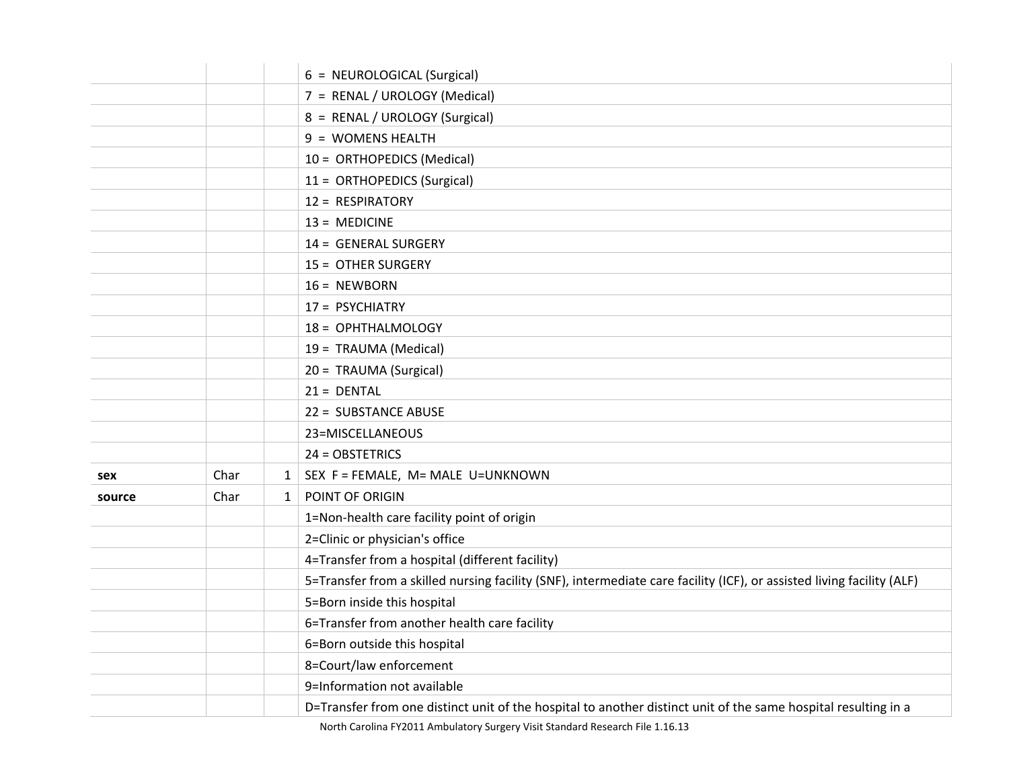|        |      |              | 6 = NEUROLOGICAL (Surgical)                                                                                           |
|--------|------|--------------|-----------------------------------------------------------------------------------------------------------------------|
|        |      |              | 7 = RENAL / UROLOGY (Medical)                                                                                         |
|        |      |              | 8 = RENAL / UROLOGY (Surgical)                                                                                        |
|        |      |              | 9 = WOMENS HEALTH                                                                                                     |
|        |      |              | 10 = ORTHOPEDICS (Medical)                                                                                            |
|        |      |              | 11 = ORTHOPEDICS (Surgical)                                                                                           |
|        |      |              | 12 = RESPIRATORY                                                                                                      |
|        |      |              | $13 = MEDICINE$                                                                                                       |
|        |      |              | 14 = GENERAL SURGERY                                                                                                  |
|        |      |              | 15 = OTHER SURGERY                                                                                                    |
|        |      |              | $16 = NEWBORN$                                                                                                        |
|        |      |              | 17 = PSYCHIATRY                                                                                                       |
|        |      |              | 18 = OPHTHALMOLOGY                                                                                                    |
|        |      |              | 19 = TRAUMA (Medical)                                                                                                 |
|        |      |              | 20 = TRAUMA (Surgical)                                                                                                |
|        |      |              | $21 = DENTAL$                                                                                                         |
|        |      |              | 22 = SUBSTANCE ABUSE                                                                                                  |
|        |      |              | 23=MISCELLANEOUS                                                                                                      |
|        |      |              | 24 = OBSTETRICS                                                                                                       |
| sex    | Char | $1 \vert$    | SEX F = FEMALE, M= MALE U=UNKNOWN                                                                                     |
| source | Char | $\mathbf{1}$ | POINT OF ORIGIN                                                                                                       |
|        |      |              | 1=Non-health care facility point of origin                                                                            |
|        |      |              | 2=Clinic or physician's office                                                                                        |
|        |      |              | 4=Transfer from a hospital (different facility)                                                                       |
|        |      |              | 5=Transfer from a skilled nursing facility (SNF), intermediate care facility (ICF), or assisted living facility (ALF) |
|        |      |              | 5=Born inside this hospital                                                                                           |
|        |      |              | 6=Transfer from another health care facility                                                                          |
|        |      |              | 6=Born outside this hospital                                                                                          |
|        |      |              | 8=Court/law enforcement                                                                                               |
|        |      |              | 9=Information not available                                                                                           |
|        |      |              | D=Transfer from one distinct unit of the hospital to another distinct unit of the same hospital resulting in a        |

North Carolina FY2011 Ambulatory Surgery Visit Standard Research File 1.16.13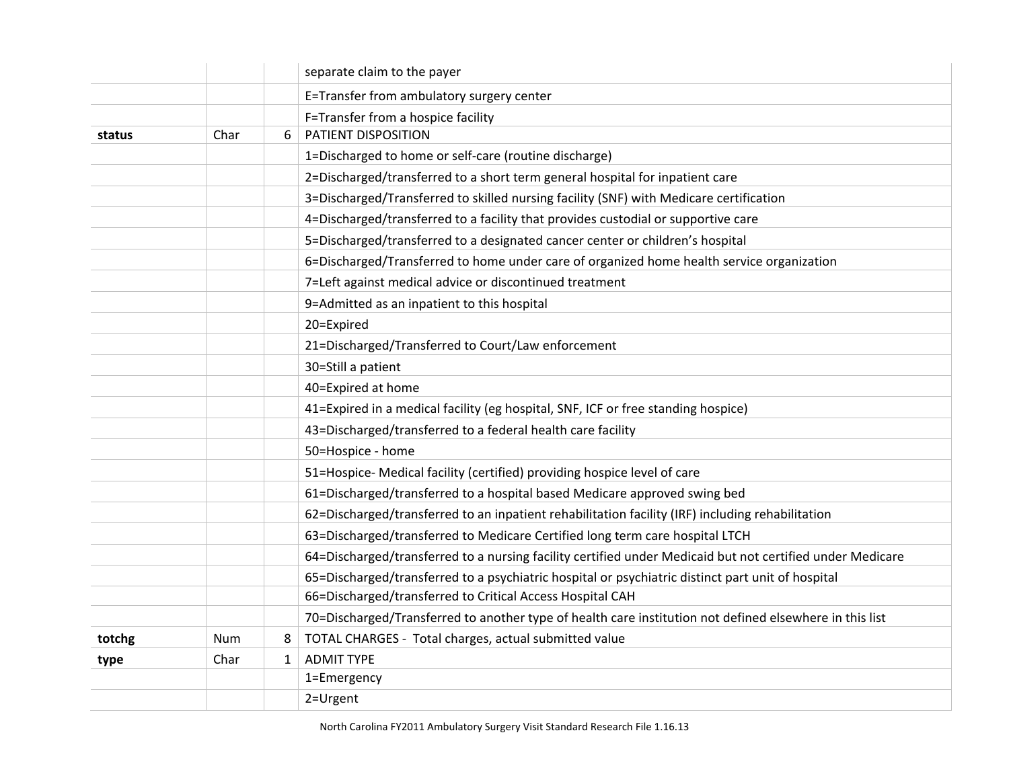|        |      |              | separate claim to the payer                                                                               |
|--------|------|--------------|-----------------------------------------------------------------------------------------------------------|
|        |      |              | E=Transfer from ambulatory surgery center                                                                 |
|        |      |              | F=Transfer from a hospice facility                                                                        |
| status | Char | 6            | PATIENT DISPOSITION                                                                                       |
|        |      |              | 1=Discharged to home or self-care (routine discharge)                                                     |
|        |      |              | 2=Discharged/transferred to a short term general hospital for inpatient care                              |
|        |      |              | 3=Discharged/Transferred to skilled nursing facility (SNF) with Medicare certification                    |
|        |      |              | 4=Discharged/transferred to a facility that provides custodial or supportive care                         |
|        |      |              | 5=Discharged/transferred to a designated cancer center or children's hospital                             |
|        |      |              | 6=Discharged/Transferred to home under care of organized home health service organization                 |
|        |      |              | 7=Left against medical advice or discontinued treatment                                                   |
|        |      |              | 9=Admitted as an inpatient to this hospital                                                               |
|        |      |              | 20=Expired                                                                                                |
|        |      |              | 21=Discharged/Transferred to Court/Law enforcement                                                        |
|        |      |              | 30=Still a patient                                                                                        |
|        |      |              | 40=Expired at home                                                                                        |
|        |      |              | 41=Expired in a medical facility (eg hospital, SNF, ICF or free standing hospice)                         |
|        |      |              | 43=Discharged/transferred to a federal health care facility                                               |
|        |      |              | 50=Hospice - home                                                                                         |
|        |      |              | 51=Hospice- Medical facility (certified) providing hospice level of care                                  |
|        |      |              | 61=Discharged/transferred to a hospital based Medicare approved swing bed                                 |
|        |      |              | 62=Discharged/transferred to an inpatient rehabilitation facility (IRF) including rehabilitation          |
|        |      |              | 63=Discharged/transferred to Medicare Certified long term care hospital LTCH                              |
|        |      |              | 64=Discharged/transferred to a nursing facility certified under Medicaid but not certified under Medicare |
|        |      |              | 65=Discharged/transferred to a psychiatric hospital or psychiatric distinct part unit of hospital         |
|        |      |              | 66=Discharged/transferred to Critical Access Hospital CAH                                                 |
|        |      |              | 70=Discharged/Transferred to another type of health care institution not defined elsewhere in this list   |
| totchg | Num  | 8            | TOTAL CHARGES - Total charges, actual submitted value                                                     |
| type   | Char | $\mathbf{1}$ | <b>ADMIT TYPE</b>                                                                                         |
|        |      |              | 1=Emergency                                                                                               |
|        |      |              | 2=Urgent                                                                                                  |